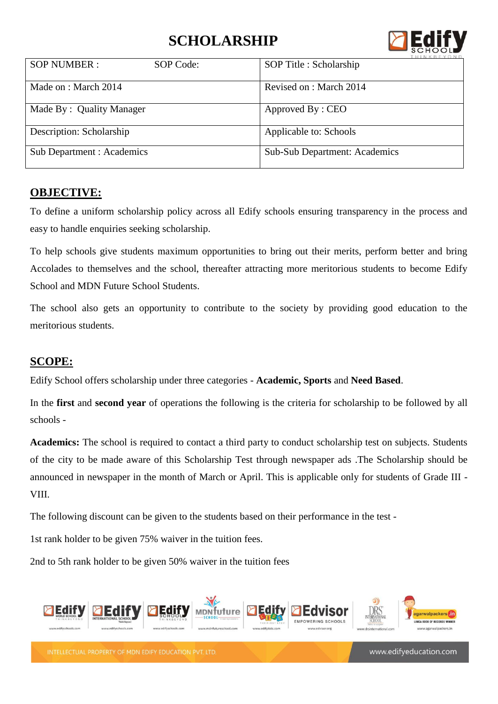## **SCHOLARSHIP**



|                                  |           | <b>HINKBEYOND</b>                    |
|----------------------------------|-----------|--------------------------------------|
| <b>SOP NUMBER:</b>               | SOP Code: | SOP Title : Scholarship              |
| Made on : March 2014             |           | Revised on : March 2014              |
| Made By: Quality Manager         |           | Approved By: CEO                     |
| Description: Scholarship         |           | Applicable to: Schools               |
| <b>Sub Department: Academics</b> |           | <b>Sub-Sub Department: Academics</b> |

#### **OBJECTIVE:**

To define a uniform scholarship policy across all Edify schools ensuring transparency in the process and easy to handle enquiries seeking scholarship.

To help schools give students maximum opportunities to bring out their merits, perform better and bring Accolades to themselves and the school, thereafter attracting more meritorious students to become Edify School and MDN Future School Students.

The school also gets an opportunity to contribute to the society by providing good education to the meritorious students.

### **SCOPE:**

Edify School offers scholarship under three categories - **Academic, Sports** and **Need Based**.

In the **first** and **second year** of operations the following is the criteria for scholarship to be followed by all schools -

**Academics:** The school is required to contact a third party to conduct scholarship test on subjects. Students of the city to be made aware of this Scholarship Test through newspaper ads .The Scholarship should be announced in newspaper in the month of March or April. This is applicable only for students of Grade III - VIII.

The following discount can be given to the students based on their performance in the test -

1st rank holder to be given 75% waiver in the tuition fees.

2nd to 5th rank holder to be given 50% waiver in the tuition fees



INTELLECTUAL PROPERTY OF MDN EDIFY EDUCATION PVT. LTD

www.edifyeducation.com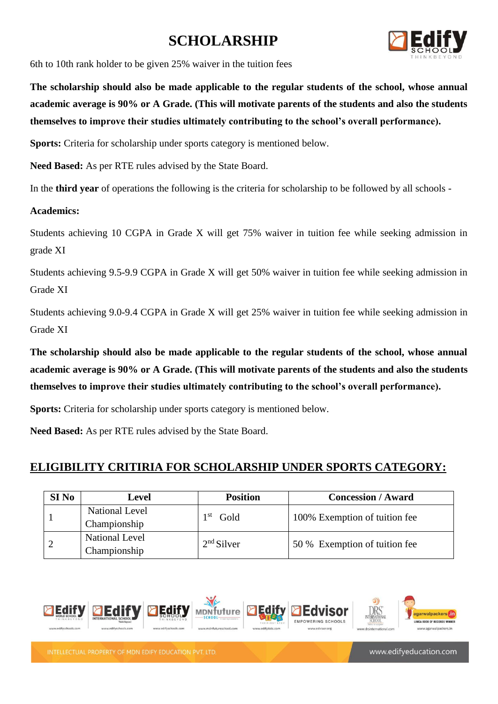## **SCHOLARSHIP**



6th to 10th rank holder to be given 25% waiver in the tuition fees

**The scholarship should also be made applicable to the regular students of the school, whose annual academic average is 90% or A Grade. (This will motivate parents of the students and also the students themselves to improve their studies ultimately contributing to the school's overall performance).**

**Sports:** Criteria for scholarship under sports category is mentioned below.

**Need Based:** As per RTE rules advised by the State Board.

In the **third year** of operations the following is the criteria for scholarship to be followed by all schools -

#### **Academics:**

Students achieving 10 CGPA in Grade X will get 75% waiver in tuition fee while seeking admission in grade XI

Students achieving 9.5-9.9 CGPA in Grade X will get 50% waiver in tuition fee while seeking admission in Grade XI

Students achieving 9.0-9.4 CGPA in Grade X will get 25% waiver in tuition fee while seeking admission in Grade XI

**The scholarship should also be made applicable to the regular students of the school, whose annual academic average is 90% or A Grade. (This will motivate parents of the students and also the students themselves to improve their studies ultimately contributing to the school's overall performance).**

**Sports:** Criteria for scholarship under sports category is mentioned below.

**Need Based:** As per RTE rules advised by the State Board.

#### **ELIGIBILITY CRITIRIA FOR SCHOLARSHIP UNDER SPORTS CATEGORY:**

| SI <sub>No</sub> | <b>Level</b>                          | <b>Position</b> | <b>Concession / Award</b>     |
|------------------|---------------------------------------|-----------------|-------------------------------|
|                  | <b>National Level</b><br>Championship | -st<br>Gold     | 100% Exemption of tuition fee |
|                  | <b>National Level</b><br>Championship | $2nd$ Silver    | 50 % Exemption of tuition fee |